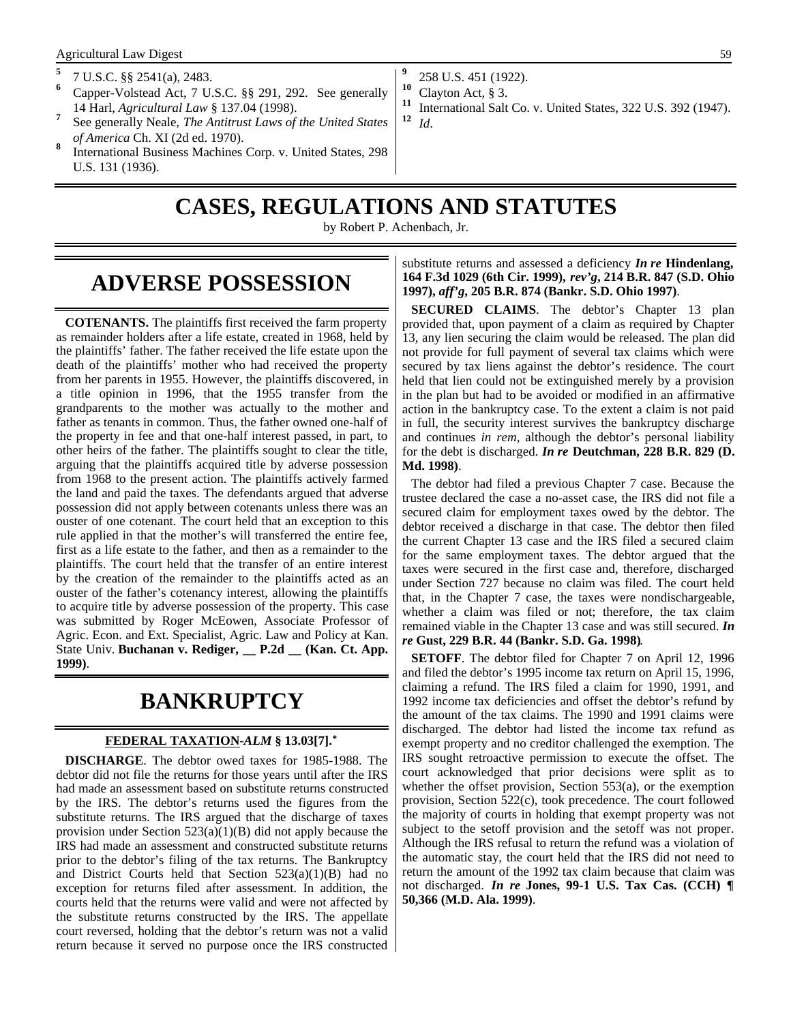- **5** 7 U.S.C. §§ 2541(a), 2483.
- **<sup>6</sup>** Capper-Volstead Act, 7 U.S.C. §§ 291, 292. See generally 14 Harl, *Agricultural Law* § 137.04 (1998).
- **7** See generally Neale, *The Antitrust Laws of the United States of America* Ch. XI (2d ed. 1970).
- **8** International Business Machines Corp. v. United States, 298 U.S. 131 (1936).
- **9** 258 U.S. 451 (1922).
- **<sup>10</sup>** Clayton Act, § 3.
- <sup>11</sup> International Salt Co. v. United States, 322 U.S. 392 (1947). **<sup>12</sup>** *Id*.

# **CASES, REGULATIONS AND STATUTES**

by Robert P. Achenbach, Jr.

### **ADVERSE POSSESSION**

**COTENANTS.** The plaintiffs first received the farm property as remainder holders after a life estate, created in 1968, held by the plaintiffs' father. The father received the life estate upon the death of the plaintiffs' mother who had received the property from her parents in 1955. However, the plaintiffs discovered, in a title opinion in 1996, that the 1955 transfer from the grandparents to the mother was actually to the mother and father as tenants in common. Thus, the father owned one-half of the property in fee and that one-half interest passed, in part, to other heirs of the father. The plaintiffs sought to clear the title, arguing that the plaintiffs acquired title by adverse possession from 1968 to the present action. The plaintiffs actively farmed the land and paid the taxes. The defendants argued that adverse possession did not apply between cotenants unless there was an ouster of one cotenant. The court held that an exception to this rule applied in that the mother's will transferred the entire fee, first as a life estate to the father, and then as a remainder to the plaintiffs. The court held that the transfer of an entire interest by the creation of the remainder to the plaintiffs acted as an ouster of the father's cotenancy interest, allowing the plaintiffs to acquire title by adverse possession of the property. This case was submitted by Roger McEowen, Associate Professor of Agric. Econ. and Ext. Specialist, Agric. Law and Policy at Kan. State Univ. **Buchanan v. Rediger, \_\_ P.2d \_\_ (Kan. Ct. App. 1999)**.

### **BANKRUPTCY**

#### **FEDERAL TAXATION -***ALM* **§ 13.03[7].\***

**DISCHARGE**. The debtor owed taxes for 1985-1988. The debtor did not file the returns for those years until after the IRS had made an assessment based on substitute returns constructed by the IRS. The debtor's returns used the figures from the substitute returns. The IRS argued that the discharge of taxes provision under Section  $523(a)(1)(B)$  did not apply because the IRS had made an assessment and constructed substitute returns prior to the debtor's filing of the tax returns. The Bankruptcy and District Courts held that Section 523(a)(1)(B) had no exception for returns filed after assessment. In addition, the courts held that the returns were valid and were not affected by the substitute returns constructed by the IRS. The appellate court reversed, holding that the debtor's return was not a valid return because it served no purpose once the IRS constructed

substitute returns and assessed a deficiency *In re* **Hindenlang, 164 F.3d 1029 (6th Cir. 1999),** *rev'g***, 214 B.R. 847 (S.D. Ohio 1997),** *aff'g***, 205 B.R. 874 (Bankr. S.D. Ohio 1997)**.

**SECURED CLAIMS**. The debtor's Chapter 13 plan provided that, upon payment of a claim as required by Chapter 13, any lien securing the claim would be released. The plan did not provide for full payment of several tax claims which were secured by tax liens against the debtor's residence. The court held that lien could not be extinguished merely by a provision in the plan but had to be avoided or modified in an affirmative action in the bankruptcy case. To the extent a claim is not paid in full, the security interest survives the bankruptcy discharge and continues *in rem,* although the debtor's personal liability for the debt is discharged. *In re* **Deutchman, 228 B.R. 829 (D. Md. 1998)**.

The debtor had filed a previous Chapter 7 case. Because the trustee declared the case a no-asset case, the IRS did not file a secured claim for employment taxes owed by the debtor. The debtor received a discharge in that case. The debtor then filed the current Chapter 13 case and the IRS filed a secured claim for the same employment taxes. The debtor argued that the taxes were secured in the first case and, therefore, discharged under Section 727 because no claim was filed. The court held that, in the Chapter 7 case, the taxes were nondischargeable, whether a claim was filed or not; therefore, the tax claim remained viable in the Chapter 13 case and was still secured. *In re* **Gust, 229 B.R. 44 (Bankr. S.D. Ga. 1998)**.

**SETOFF**. The debtor filed for Chapter 7 on April 12, 1996 and filed the debtor's 1995 income tax return on April 15, 1996, claiming a refund. The IRS filed a claim for 1990, 1991, and 1992 income tax deficiencies and offset the debtor's refund by the amount of the tax claims. The 1990 and 1991 claims were discharged. The debtor had listed the income tax refund as exempt property and no creditor challenged the exemption. The IRS sought retroactive permission to execute the offset. The court acknowledged that prior decisions were split as to whether the offset provision, Section 553(a), or the exemption provision, Section 522(c), took precedence. The court followed the majority of courts in holding that exempt property was not subject to the setoff provision and the setoff was not proper. Although the IRS refusal to return the refund was a violation of the automatic stay, the court held that the IRS did not need to return the amount of the 1992 tax claim because that claim was not discharged. *In re* **Jones, 99-1 U.S. Tax Cas. (CCH) ¶ 50,366 (M.D. Ala. 1999)**.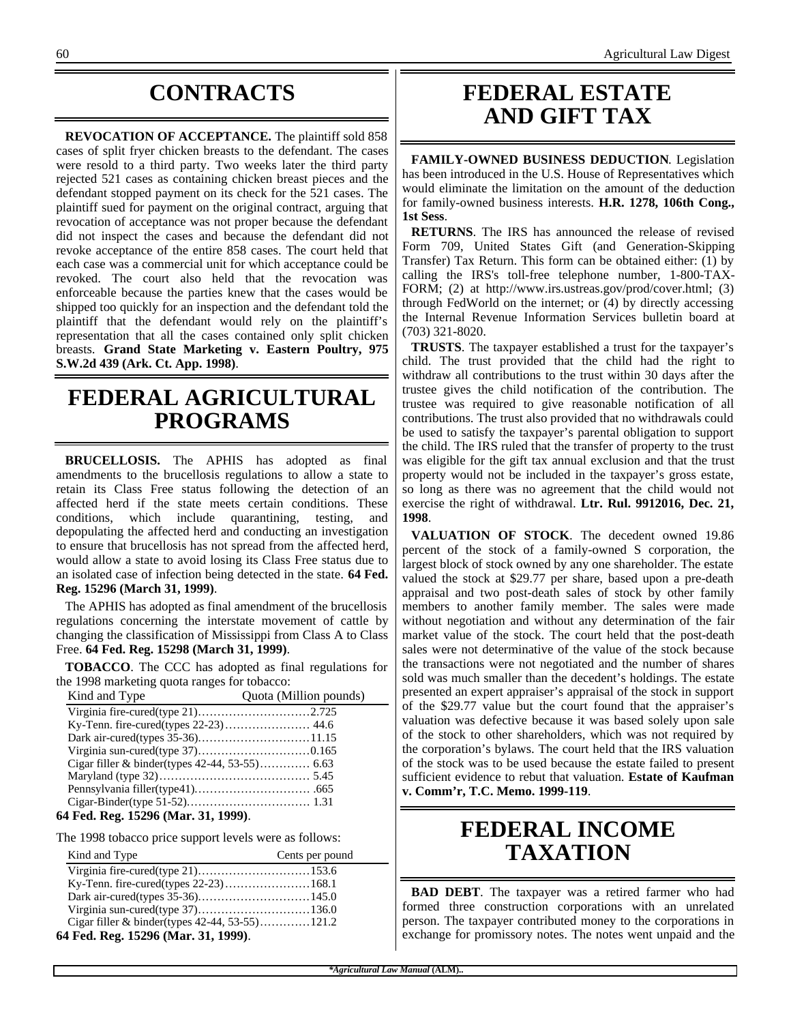# **CONTRACTS**

**REVOCATION OF ACCEPTANCE.** The plaintiff sold 858 cases of split fryer chicken breasts to the defendant. The cases were resold to a third party. Two weeks later the third party rejected 521 cases as containing chicken breast pieces and the defendant stopped payment on its check for the 521 cases. The plaintiff sued for payment on the original contract, arguing that revocation of acceptance was not proper because the defendant did not inspect the cases and because the defendant did not revoke acceptance of the entire 858 cases. The court held that each case was a commercial unit for which acceptance could be revoked. The court also held that the revocation was enforceable because the parties knew that the cases would be shipped too quickly for an inspection and the defendant told the plaintiff that the defendant would rely on the plaintiff's representation that all the cases contained only split chicken breasts. **Grand State Marketing v. Eastern Poultry, 975 S.W.2d 439 (Ark. Ct. App. 1998)**.

### **FEDERAL AGRICULTURAL PROGRAMS**

**BRUCELLOSIS.** The APHIS has adopted as final amendments to the brucellosis regulations to allow a state to retain its Class Free status following the detection of an affected herd if the state meets certain conditions. These conditions, which include quarantining, testing, and depopulating the affected herd and conducting an investigation to ensure that brucellosis has not spread from the affected herd, would allow a state to avoid losing its Class Free status due to an isolated case of infection being detected in the state. **64 Fed. Reg. 15296 (March 31, 1999)**.

The APHIS has adopted as final amendment of the brucellosis regulations concerning the interstate movement of cattle by changing the classification of Mississippi from Class A to Class Free. **64 Fed. Reg. 15298 (March 31, 1999)**.

**TOBACCO**. The CCC has adopted as final regulations for the 1998 marketing quota ranges for tobacco:

| Kind and Type                             | Quota (Million pounds) |
|-------------------------------------------|------------------------|
|                                           |                        |
|                                           |                        |
|                                           |                        |
|                                           |                        |
|                                           |                        |
|                                           |                        |
|                                           |                        |
|                                           |                        |
| $\Lambda$ Eed. Deg. 15906 (Meg. 21, 1000) |                        |

#### **64 Fed. Reg. 15296 (Mar. 31, 1999)**.

The 1998 tobacco price support levels were as follows:

| Kind and Type                         | Cents per pound |
|---------------------------------------|-----------------|
| Virginia fire-cured(type 21)153.6     |                 |
| Ky-Tenn. fire-cured(types 22-23)168.1 |                 |
|                                       |                 |
|                                       |                 |
|                                       |                 |
| 64 Fed. Reg. 15296 (Mar. 31, 1999).   |                 |

#### **FEDERAL ESTATE AND GIFT TAX**

**FAMILY-OWNED BUSINESS DEDUCTION**. Legislation has been introduced in the U.S. House of Representatives which would eliminate the limitation on the amount of the deduction for family-owned business interests. **H.R. 1278, 106th Cong., 1st Sess**.

**RETURNS**. The IRS has announced the release of revised Form 709, United States Gift (and Generation-Skipping Transfer) Tax Return. This form can be obtained either: (1) by calling the IRS's toll-free telephone number, 1-800-TAX-FORM; (2) at http://www.irs.ustreas.gov/prod/cover.html; (3) through FedWorld on the internet; or (4) by directly accessing the Internal Revenue Information Services bulletin board at (703) 321-8020.

**TRUSTS**. The taxpayer established a trust for the taxpayer's child. The trust provided that the child had the right to withdraw all contributions to the trust within 30 days after the trustee gives the child notification of the contribution. The trustee was required to give reasonable notification of all contributions. The trust also provided that no withdrawals could be used to satisfy the taxpayer's parental obligation to support the child. The IRS ruled that the transfer of property to the trust was eligible for the gift tax annual exclusion and that the trust property would not be included in the taxpayer's gross estate, so long as there was no agreement that the child would not exercise the right of withdrawal. **Ltr. Rul. 9912016, Dec. 21, 1998**.

**VALUATION OF STOCK**. The decedent owned 19.86 percent of the stock of a family-owned S corporation, the largest block of stock owned by any one shareholder. The estate valued the stock at \$29.77 per share, based upon a pre-death appraisal and two post-death sales of stock by other family members to another family member. The sales were made without negotiation and without any determination of the fair market value of the stock. The court held that the post-death sales were not determinative of the value of the stock because the transactions were not negotiated and the number of shares sold was much smaller than the decedent's holdings. The estate presented an expert appraiser's appraisal of the stock in support of the \$29.77 value but the court found that the appraiser's valuation was defective because it was based solely upon sale of the stock to other shareholders, which was not required by the corporation's bylaws. The court held that the IRS valuation of the stock was to be used because the estate failed to present sufficient evidence to rebut that valuation. **Estate of Kaufman v. Comm'r, T.C. Memo. 1999-119**.

## **FEDERAL INCOME TAXATION**

**BAD DEBT**. The taxpayer was a retired farmer who had formed three construction corporations with an unrelated person. The taxpayer contributed money to the corporations in exchange for promissory notes. The notes went unpaid and the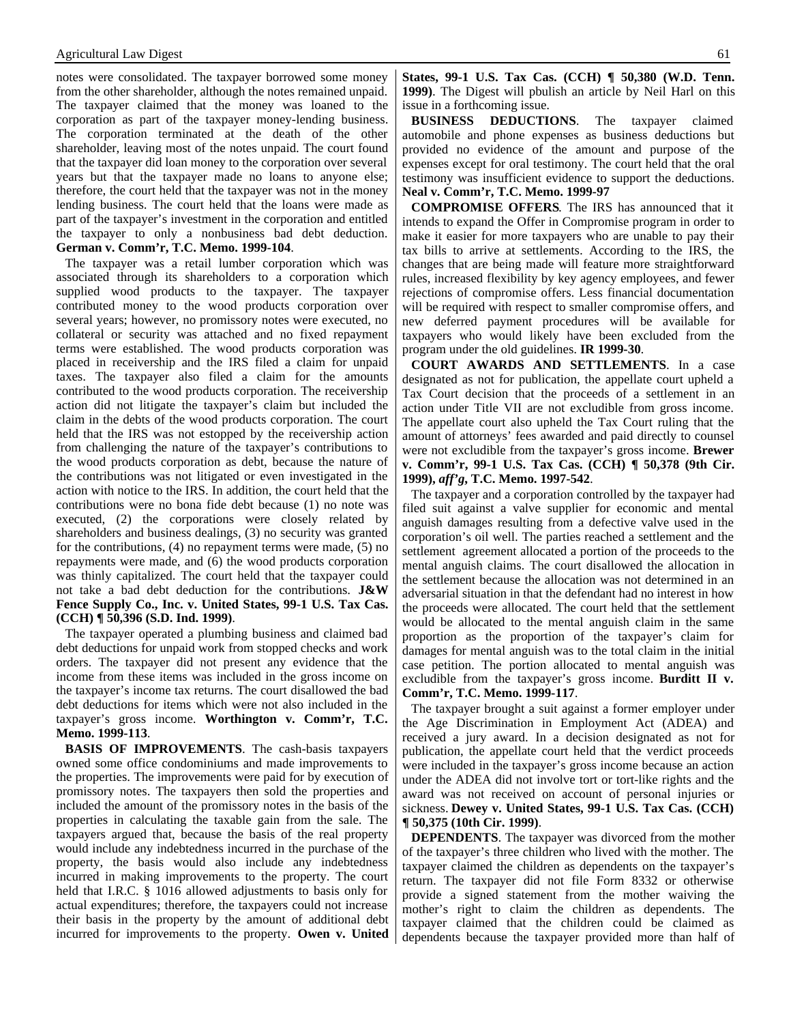notes were consolidated. The taxpayer borrowed some money from the other shareholder, although the notes remained unpaid. The taxpayer claimed that the money was loaned to the corporation as part of the taxpayer money-lending business. The corporation terminated at the death of the other shareholder, leaving most of the notes unpaid. The court found that the taxpayer did loan money to the corporation over several years but that the taxpayer made no loans to anyone else; therefore, the court held that the taxpayer was not in the money lending business. The court held that the loans were made as part of the taxpayer's investment in the corporation and entitled the taxpayer to only a nonbusiness bad debt deduction. **German v. Comm'r, T.C. Memo. 1999-104**.

The taxpayer was a retail lumber corporation which was associated through its shareholders to a corporation which supplied wood products to the taxpayer. The taxpayer contributed money to the wood products corporation over several years; however, no promissory notes were executed, no collateral or security was attached and no fixed repayment terms were established. The wood products corporation was placed in receivership and the IRS filed a claim for unpaid taxes. The taxpayer also filed a claim for the amounts contributed to the wood products corporation. The receivership action did not litigate the taxpayer's claim but included the claim in the debts of the wood products corporation. The court held that the IRS was not estopped by the receivership action from challenging the nature of the taxpayer's contributions to the wood products corporation as debt, because the nature of the contributions was not litigated or even investigated in the action with notice to the IRS. In addition, the court held that the contributions were no bona fide debt because (1) no note was executed, (2) the corporations were closely related by shareholders and business dealings, (3) no security was granted for the contributions, (4) no repayment terms were made, (5) no repayments were made, and (6) the wood products corporation was thinly capitalized. The court held that the taxpayer could not take a bad debt deduction for the contributions. **J&W Fence Supply Co., Inc. v. United States, 99-1 U.S. Tax Cas. (CCH) ¶ 50,396 (S.D. Ind. 1999)**.

The taxpayer operated a plumbing business and claimed bad debt deductions for unpaid work from stopped checks and work orders. The taxpayer did not present any evidence that the income from these items was included in the gross income on the taxpayer's income tax returns. The court disallowed the bad debt deductions for items which were not also included in the taxpayer's gross income. **Worthington v. Comm'r, T.C. Memo. 1999-113**.

**BASIS OF IMPROVEMENTS**. The cash-basis taxpayers owned some office condominiums and made improvements to the properties. The improvements were paid for by execution of promissory notes. The taxpayers then sold the properties and included the amount of the promissory notes in the basis of the properties in calculating the taxable gain from the sale. The taxpayers argued that, because the basis of the real property would include any indebtedness incurred in the purchase of the property, the basis would also include any indebtedness incurred in making improvements to the property. The court held that I.R.C. § 1016 allowed adjustments to basis only for actual expenditures; therefore, the taxpayers could not increase their basis in the property by the amount of additional debt incurred for improvements to the property. **Owen v. United** **States, 99-1 U.S. Tax Cas. (CCH) ¶ 50,380 (W.D. Tenn. 1999)**. The Digest will pbulish an article by Neil Harl on this issue in a forthcoming issue.

**BUSINESS DEDUCTIONS**. The taxpayer claimed automobile and phone expenses as business deductions but provided no evidence of the amount and purpose of the expenses except for oral testimony. The court held that the oral testimony was insufficient evidence to support the deductions. **Neal v. Comm'r, T.C. Memo. 1999-97**

**COMPROMISE OFFERS**. The IRS has announced that it intends to expand the Offer in Compromise program in order to make it easier for more taxpayers who are unable to pay their tax bills to arrive at settlements. According to the IRS, the changes that are being made will feature more straightforward rules, increased flexibility by key agency employees, and fewer rejections of compromise offers. Less financial documentation will be required with respect to smaller compromise offers, and new deferred payment procedures will be available for taxpayers who would likely have been excluded from the program under the old guidelines. **IR 1999-30**.

**COURT AWARDS AND SETTLEMENTS**. In a case designated as not for publication, the appellate court upheld a Tax Court decision that the proceeds of a settlement in an action under Title VII are not excludible from gross income. The appellate court also upheld the Tax Court ruling that the amount of attorneys' fees awarded and paid directly to counsel were not excludible from the taxpayer's gross income. **Brewer v. Comm'r, 99-1 U.S. Tax Cas. (CCH) ¶ 50,378 (9th Cir. 1999),** *aff'g***, T.C. Memo. 1997-542**.

The taxpayer and a corporation controlled by the taxpayer had filed suit against a valve supplier for economic and mental anguish damages resulting from a defective valve used in the corporation's oil well. The parties reached a settlement and the settlement agreement allocated a portion of the proceeds to the mental anguish claims. The court disallowed the allocation in the settlement because the allocation was not determined in an adversarial situation in that the defendant had no interest in how the proceeds were allocated. The court held that the settlement would be allocated to the mental anguish claim in the same proportion as the proportion of the taxpayer's claim for damages for mental anguish was to the total claim in the initial case petition. The portion allocated to mental anguish was excludible from the taxpayer's gross income. **Burditt II v. Comm'r, T.C. Memo. 1999-117**.

The taxpayer brought a suit against a former employer under the Age Discrimination in Employment Act (ADEA) and received a jury award. In a decision designated as not for publication, the appellate court held that the verdict proceeds were included in the taxpayer's gross income because an action under the ADEA did not involve tort or tort-like rights and the award was not received on account of personal injuries or sickness. **Dewey v. United States, 99-1 U.S. Tax Cas. (CCH) ¶ 50,375 (10th Cir. 1999)**.

**DEPENDENTS**. The taxpayer was divorced from the mother of the taxpayer's three children who lived with the mother. The taxpayer claimed the children as dependents on the taxpayer's return. The taxpayer did not file Form 8332 or otherwise provide a signed statement from the mother waiving the mother's right to claim the children as dependents. The taxpayer claimed that the children could be claimed as dependents because the taxpayer provided more than half of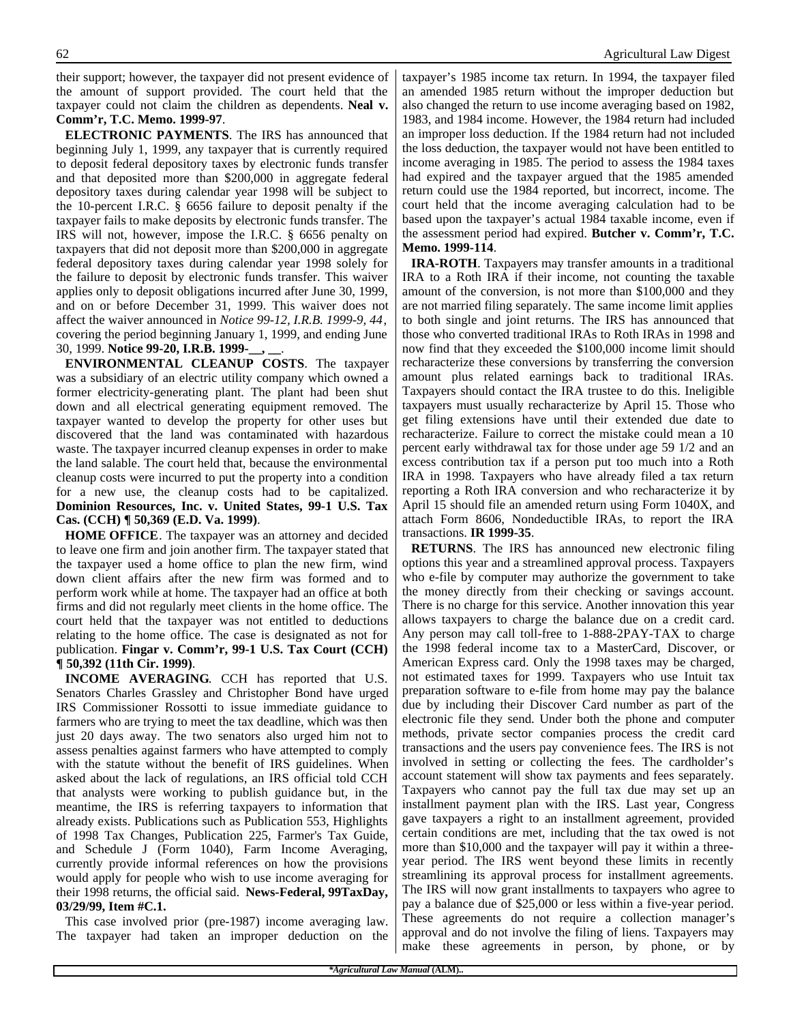their support; however, the taxpayer did not present evidence of the amount of support provided. The court held that the taxpayer could not claim the children as dependents. **Neal v. Comm'r, T.C. Memo. 1999-97**.

**ELECTRONIC PAYMENTS**. The IRS has announced that beginning July 1, 1999, any taxpayer that is currently required to deposit federal depository taxes by electronic funds transfer and that deposited more than \$200,000 in aggregate federal depository taxes during calendar year 1998 will be subject to the 10-percent I.R.C. § 6656 failure to deposit penalty if the taxpayer fails to make deposits by electronic funds transfer. The IRS will not, however, impose the I.R.C. § 6656 penalty on taxpayers that did not deposit more than \$200,000 in aggregate federal depository taxes during calendar year 1998 solely for the failure to deposit by electronic funds transfer. This waiver applies only to deposit obligations incurred after June 30, 1999, and on or before December 31, 1999. This waiver does not affect the waiver announced in *Notice 99-12, I.R.B. 1999-9, 44*, covering the period beginning January 1, 1999, and ending June 30, 1999. **Notice 99-20, I.R.B. 1999-\_\_, \_\_**.

**ENVIRONMENTAL CLEANUP COSTS**. The taxpayer was a subsidiary of an electric utility company which owned a former electricity-generating plant. The plant had been shut down and all electrical generating equipment removed. The taxpayer wanted to develop the property for other uses but discovered that the land was contaminated with hazardous waste. The taxpayer incurred cleanup expenses in order to make the land salable. The court held that, because the environmental cleanup costs were incurred to put the property into a condition for a new use, the cleanup costs had to be capitalized. **Dominion Resources, Inc. v. United States, 99-1 U.S. Tax Cas. (CCH) ¶ 50,369 (E.D. Va. 1999)**.

**HOME OFFICE**. The taxpayer was an attorney and decided to leave one firm and join another firm. The taxpayer stated that the taxpayer used a home office to plan the new firm, wind down client affairs after the new firm was formed and to perform work while at home. The taxpayer had an office at both firms and did not regularly meet clients in the home office. The court held that the taxpayer was not entitled to deductions relating to the home office. The case is designated as not for publication. **Fingar v. Comm'r, 99-1 U.S. Tax Court (CCH) ¶ 50,392 (11th Cir. 1999)**.

**INCOME AVERAGING**. CCH has reported that U.S. Senators Charles Grassley and Christopher Bond have urged IRS Commissioner Rossotti to issue immediate guidance to farmers who are trying to meet the tax deadline, which was then just 20 days away. The two senators also urged him not to assess penalties against farmers who have attempted to comply with the statute without the benefit of IRS guidelines. When asked about the lack of regulations, an IRS official told CCH that analysts were working to publish guidance but, in the meantime, the IRS is referring taxpayers to information that already exists. Publications such as Publication 553, Highlights of 1998 Tax Changes, Publication 225, Farmer's Tax Guide, and Schedule J (Form 1040), Farm Income Averaging, currently provide informal references on how the provisions would apply for people who wish to use income averaging for their 1998 returns, the official said. **News-Federal, 99TaxDay, 03/29/99, Item #C.1.**

This case involved prior (pre-1987) income averaging law. The taxpayer had taken an improper deduction on the

taxpayer's 1985 income tax return. In 1994, the taxpayer filed an amended 1985 return without the improper deduction but also changed the return to use income averaging based on 1982, 1983, and 1984 income. However, the 1984 return had included an improper loss deduction. If the 1984 return had not included the loss deduction, the taxpayer would not have been entitled to income averaging in 1985. The period to assess the 1984 taxes had expired and the taxpayer argued that the 1985 amended return could use the 1984 reported, but incorrect, income. The court held that the income averaging calculation had to be based upon the taxpayer's actual 1984 taxable income, even if the assessment period had expired. **Butcher v. Comm'r, T.C. Memo. 1999-114**.

**IRA-ROTH**. Taxpayers may transfer amounts in a traditional IRA to a Roth IRA if their income, not counting the taxable amount of the conversion, is not more than \$100,000 and they are not married filing separately. The same income limit applies to both single and joint returns. The IRS has announced that those who converted traditional IRAs to Roth IRAs in 1998 and now find that they exceeded the \$100,000 income limit should recharacterize these conversions by transferring the conversion amount plus related earnings back to traditional IRAs. Taxpayers should contact the IRA trustee to do this. Ineligible taxpayers must usually recharacterize by April 15. Those who get filing extensions have until their extended due date to recharacterize. Failure to correct the mistake could mean a 10 percent early withdrawal tax for those under age 59 1/2 and an excess contribution tax if a person put too much into a Roth IRA in 1998. Taxpayers who have already filed a tax return reporting a Roth IRA conversion and who recharacterize it by April 15 should file an amended return using Form 1040X, and attach Form 8606, Nondeductible IRAs, to report the IRA transactions. **IR 1999-35**.

**RETURNS**. The IRS has announced new electronic filing options this year and a streamlined approval process. Taxpayers who e-file by computer may authorize the government to take the money directly from their checking or savings account. There is no charge for this service. Another innovation this year allows taxpayers to charge the balance due on a credit card. Any person may call toll-free to 1-888-2PAY-TAX to charge the 1998 federal income tax to a MasterCard, Discover, or American Express card. Only the 1998 taxes may be charged, not estimated taxes for 1999. Taxpayers who use Intuit tax preparation software to e-file from home may pay the balance due by including their Discover Card number as part of the electronic file they send. Under both the phone and computer methods, private sector companies process the credit card transactions and the users pay convenience fees. The IRS is not involved in setting or collecting the fees. The cardholder's account statement will show tax payments and fees separately. Taxpayers who cannot pay the full tax due may set up an installment payment plan with the IRS. Last year, Congress gave taxpayers a right to an installment agreement, provided certain conditions are met, including that the tax owed is not more than \$10,000 and the taxpayer will pay it within a threeyear period. The IRS went beyond these limits in recently streamlining its approval process for installment agreements. The IRS will now grant installments to taxpayers who agree to pay a balance due of \$25,000 or less within a five-year period. These agreements do not require a collection manager's approval and do not involve the filing of liens. Taxpayers may make these agreements in person, by phone, or by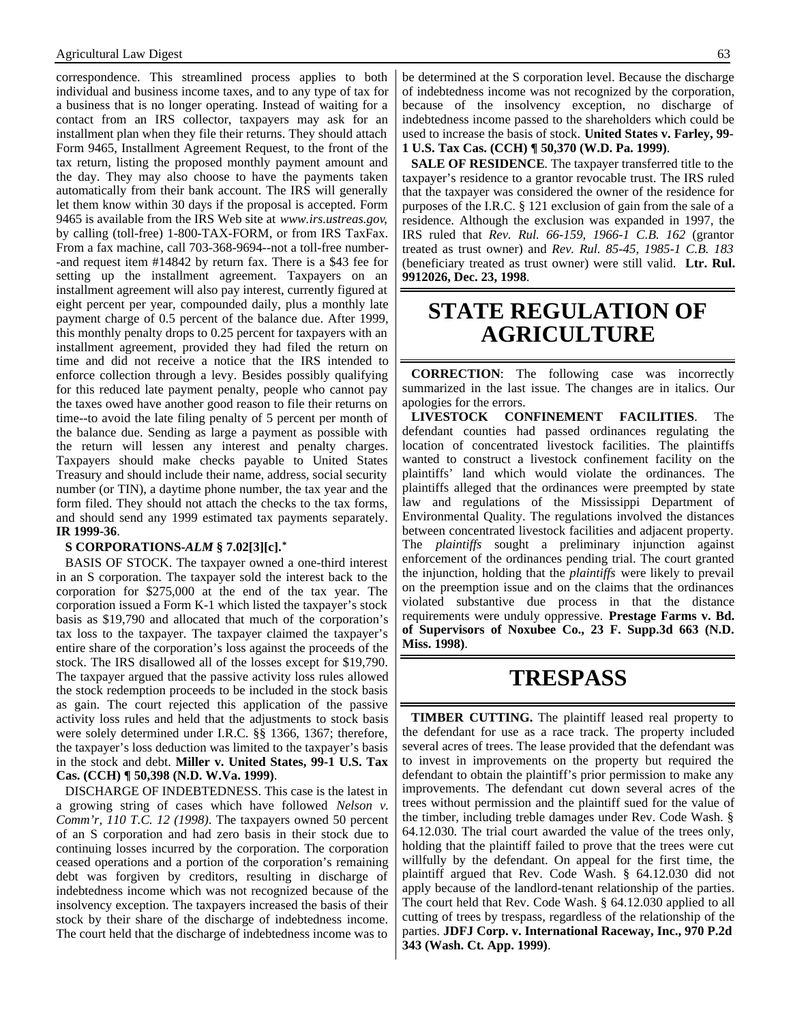correspondence. This streamlined process applies to both individual and business income taxes, and to any type of tax for a business that is no longer operating. Instead of waiting for a contact from an IRS collector, taxpayers may ask for an installment plan when they file their returns. They should attach Form 9465, Installment Agreement Request, to the front of the tax return, listing the proposed monthly payment amount and the day. They may also choose to have the payments taken automatically from their bank account. The IRS will generally let them know within 30 days if the proposal is accepted. Form 9465 is available from the IRS Web site at *www.irs.ustreas.gov*, by calling (toll-free) 1-800-TAX-FORM, or from IRS TaxFax. From a fax machine, call 703-368-9694--not a toll-free number- -and request item #14842 by return fax. There is a \$43 fee for setting up the installment agreement. Taxpayers on an installment agreement will also pay interest, currently figured at eight percent per year, compounded daily, plus a monthly late payment charge of 0.5 percent of the balance due. After 1999, this monthly penalty drops to 0.25 percent for taxpayers with an installment agreement, provided they had filed the return on time and did not receive a notice that the IRS intended to enforce collection through a levy. Besides possibly qualifying for this reduced late payment penalty, people who cannot pay the taxes owed have another good reason to file their returns on time--to avoid the late filing penalty of 5 percent per month of the balance due. Sending as large a payment as possible with the return will lessen any interest and penalty charges. Taxpayers should make checks payable to United States Treasury and should include their name, address, social security number (or TIN), a daytime phone number, the tax year and the form filed. They should not attach the checks to the tax forms, and should send any 1999 estimated tax payments separately. **IR 1999-36**.

#### **S CORPORATIONS-***ALM* **§ 7.02[3][c].\***

BASIS OF STOCK. The taxpayer owned a one-third interest in an S corporation. The taxpayer sold the interest back to the corporation for \$275,000 at the end of the tax year. The corporation issued a Form K-1 which listed the taxpayer's stock basis as \$19,790 and allocated that much of the corporation's tax loss to the taxpayer. The taxpayer claimed the taxpayer's entire share of the corporation's loss against the proceeds of the stock. The IRS disallowed all of the losses except for \$19,790. The taxpayer argued that the passive activity loss rules allowed the stock redemption proceeds to be included in the stock basis as gain. The court rejected this application of the passive activity loss rules and held that the adjustments to stock basis were solely determined under I.R.C. §§ 1366, 1367; therefore, the taxpayer's loss deduction was limited to the taxpayer's basis in the stock and debt. **Miller v. United States, 99-1 U.S. Tax Cas. (CCH) ¶ 50,398 (N.D. W.Va. 1999)**.

DISCHARGE OF INDEBTEDNESS. This case is the latest in a growing string of cases which have followed *Nelson v. Comm'r, 110 T.C. 12 (1998)*. The taxpayers owned 50 percent of an S corporation and had zero basis in their stock due to continuing losses incurred by the corporation. The corporation ceased operations and a portion of the corporation's remaining debt was forgiven by creditors, resulting in discharge of indebtedness income which was not recognized because of the insolvency exception. The taxpayers increased the basis of their stock by their share of the discharge of indebtedness income. The court held that the discharge of indebtedness income was to

be determined at the S corporation level. Because the discharge of indebtedness income was not recognized by the corporation, because of the insolvency exception, no discharge of indebtedness income passed to the shareholders which could be used to increase the basis of stock. **United States v. Farley, 99- 1 U.S. Tax Cas. (CCH) ¶ 50,370 (W.D. Pa. 1999)**.

**SALE OF RESIDENCE**. The taxpayer transferred title to the taxpayer's residence to a grantor revocable trust. The IRS ruled that the taxpayer was considered the owner of the residence for purposes of the I.R.C. § 121 exclusion of gain from the sale of a residence. Although the exclusion was expanded in 1997, the IRS ruled that *Rev. Rul. 66-159, 1966-1 C.B. 162* (grantor treated as trust owner) and *Rev. Rul. 85-45, 1985-1 C.B. 183* (beneficiary treated as trust owner) were still valid. **Ltr. Rul. 9912026, Dec. 23, 1998**.

### **STATE REGULATION OF AGRICULTURE**

**CORRECTION**: The following case was incorrectly summarized in the last issue. The changes are in italics. Our apologies for the errors.

**LIVESTOCK CONFINEMENT FACILITIES**. The defendant counties had passed ordinances regulating the location of concentrated livestock facilities. The plaintiffs wanted to construct a livestock confinement facility on the plaintiffs' land which would violate the ordinances. The plaintiffs alleged that the ordinances were preempted by state law and regulations of the Mississippi Department of Environmental Quality. The regulations involved the distances between concentrated livestock facilities and adjacent property. The *plaintiffs* sought a preliminary injunction against enforcement of the ordinances pending trial. The court granted the injunction, holding that the *plaintiffs* were likely to prevail on the preemption issue and on the claims that the ordinances violated substantive due process in that the distance requirements were unduly oppressive. **Prestage Farms v. Bd. of Supervisors of Noxubee Co., 23 F. Supp.3d 663 (N.D. Miss. 1998)**.

#### **TRESPASS**

**TIMBER CUTTING.** The plaintiff leased real property to the defendant for use as a race track. The property included several acres of trees. The lease provided that the defendant was to invest in improvements on the property but required the defendant to obtain the plaintiff's prior permission to make any improvements. The defendant cut down several acres of the trees without permission and the plaintiff sued for the value of the timber, including treble damages under Rev. Code Wash. § 64.12.030. The trial court awarded the value of the trees only, holding that the plaintiff failed to prove that the trees were cut willfully by the defendant. On appeal for the first time, the plaintiff argued that Rev. Code Wash. § 64.12.030 did not apply because of the landlord-tenant relationship of the parties. The court held that Rev. Code Wash. § 64.12.030 applied to all cutting of trees by trespass, regardless of the relationship of the parties. **JDFJ Corp. v. International Raceway, Inc., 970 P.2d 343 (Wash. Ct. App. 1999)**.